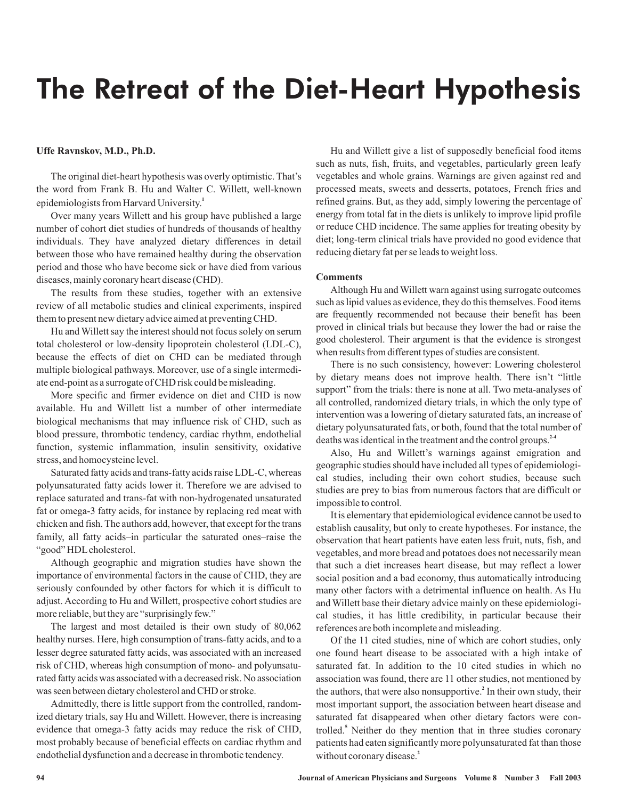## The Retreat of the Diet-Heart Hypothesis

### **Uffe Ravnskov, M.D., Ph.D.**

The original diet-heart hypothesis was overly optimistic. That's the word from Frank B. Hu and Walter C. Willett, well-known epidemiologists from Harvard University. **1**

Over many years Willett and his group have published a large number of cohort diet studies of hundreds of thousands of healthy individuals. They have analyzed dietary differences in detail between those who have remained healthy during the observation period and those who have become sick or have died from various diseases, mainly coronary heart disease (CHD).

The results from these studies, together with an extensive review of all metabolic studies and clinical experiments, inspired them to present new dietary advice aimed at preventing CHD.

Hu and Willett say the interest should not focus solely on serum total cholesterol or low-density lipoprotein cholesterol (LDL-C), because the effects of diet on CHD can be mediated through multiple biological pathways. Moreover, use of a single intermediate end-point as a surrogate of CHD risk could be misleading.

More specific and firmer evidence on diet and CHD is now available. Hu and Willett list a number of other intermediate biological mechanisms that may influence risk of CHD, such as blood pressure, thrombotic tendency, cardiac rhythm, endothelial function, systemic inflammation, insulin sensitivity, oxidative stress, and homocysteine level.

Saturated fatty acids and trans-fatty acids raise LDL-C, whereas polyunsaturated fatty acids lower it. Therefore we are advised to replace saturated and trans-fat with non-hydrogenated unsaturated fat or omega-3 fatty acids, for instance by replacing red meat with chicken and fish. The authors add, however, that except for the trans family, all fatty acids–in particular the saturated ones–raise the "good" HDL cholesterol.

Although geographic and migration studies have shown the importance of environmental factors in the cause of CHD, they are seriously confounded by other factors for which it is difficult to adjust. According to Hu and Willett, prospective cohort studies are more reliable, but they are "surprisingly few."

The largest and most detailed is their own study of 80,062 healthy nurses. Here, high consumption of trans-fatty acids, and to a lesser degree saturated fatty acids, was associated with an increased risk of CHD, whereas high consumption of mono- and polyunsaturated fatty acids was associated with a decreased risk. No association was seen between dietary cholesterol and CHD or stroke.

Admittedly, there is little support from the controlled, randomized dietary trials, say Hu and Willett. However, there is increasing evidence that omega-3 fatty acids may reduce the risk of CHD, most probably because of beneficial effects on cardiac rhythm and endothelial dysfunction and a decrease in thrombotic tendency.

Hu and Willett give a list of supposedly beneficial food items such as nuts, fish, fruits, and vegetables, particularly green leafy vegetables and whole grains. Warnings are given against red and processed meats, sweets and desserts, potatoes, French fries and refined grains. But, as they add, simply lowering the percentage of energy from total fat in the diets is unlikely to improve lipid profile or reduce CHD incidence. The same applies for treating obesity by diet; long-term clinical trials have provided no good evidence that reducing dietary fat per se leads to weight loss.

### **Comments**

Although Hu and Willett warn against using surrogate outcomes such as lipid values as evidence, they do this themselves. Food items are frequently recommended not because their benefit has been proved in clinical trials but because they lower the bad or raise the good cholesterol. Their argument is that the evidence is strongest when results from different types of studies are consistent.

There is no such consistency, however: Lowering cholesterol by dietary means does not improve health. There isn't "little support" from the trials: there is none at all. Two meta-analyses of all controlled, randomized dietary trials, in which the only type of intervention was a lowering of dietary saturated fats, an increase of dietary polyunsaturated fats, or both, found that the total number of deaths was identical in the treatment and the control groups. **2-4**

Also, Hu and Willett's warnings against emigration and geographic studies should have included all types of epidemiological studies, including their own cohort studies, because such studies are prey to bias from numerous factors that are difficult or impossible to control.

It is elementary that epidemiological evidence cannot be used to establish causality, but only to create hypotheses. For instance, the observation that heart patients have eaten less fruit, nuts, fish, and vegetables, and more bread and potatoes does not necessarily mean that such a diet increases heart disease, but may reflect a lower social position and a bad economy, thus automatically introducing many other factors with a detrimental influence on health. As Hu and Willett base their dietary advice mainly on these epidemiological studies, it has little credibility, in particular because their references are both incomplete and misleading.

Of the 11 cited studies, nine of which are cohort studies, only one found heart disease to be associated with a high intake of saturated fat. In addition to the 10 cited studies in which no association was found, there are 11 other studies, not mentioned by the authors, that were also nonsupportive.<sup>2</sup> In their own study, their most important support, the association between heart disease and saturated fat disappeared when other dietary factors were controlled.<sup>5</sup> Neither do they mention that in three studies coronary patients had eaten significantly more polyunsaturated fat than those without coronary disease. **2**